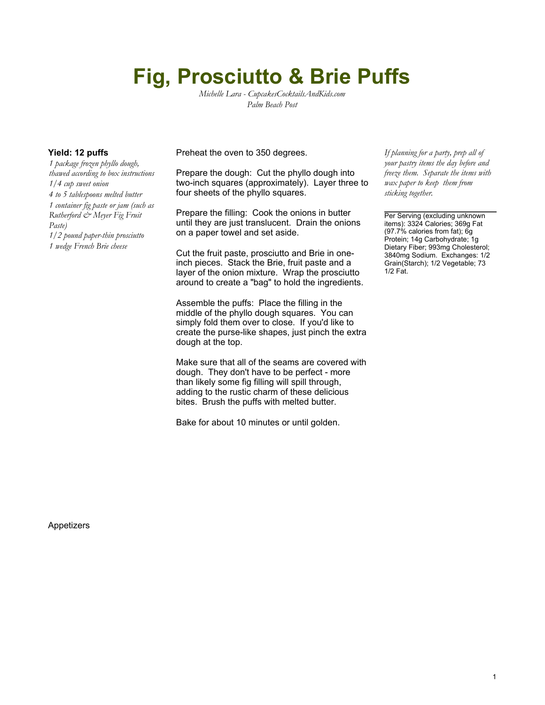# **Fig, Prosciutto & Brie Puffs**

*Michelle Lara - CupcakesCocktailsAndKids.com Palm Beach Post*

*1 package frozen phyllo dough, thawed according to box instructions 1/4 cup sweet onion 4 to 5 tablespoons melted butter 1 container fig paste or jam (such as Rutherford & Meyer Fig Fruit Paste) 1/2 pound paper-thin prosciutto 1 wedge French Brie cheese*

**Yield: 12 puffs** Preheat the oven to 350 degrees.

Prepare the dough: Cut the phyllo dough into two-inch squares (approximately). Layer three to four sheets of the phyllo squares.

Prepare the filling: Cook the onions in butter until they are just translucent. Drain the onions on a paper towel and set aside.

Cut the fruit paste, prosciutto and Brie in oneinch pieces. Stack the Brie, fruit paste and a layer of the onion mixture. Wrap the prosciutto around to create a "bag" to hold the ingredients.

Assemble the puffs: Place the filling in the middle of the phyllo dough squares. You can simply fold them over to close. If you'd like to create the purse-like shapes, just pinch the extra dough at the top.

Make sure that all of the seams are covered with dough. They don't have to be perfect - more than likely some fig filling will spill through, adding to the rustic charm of these delicious bites. Brush the puffs with melted butter.

Bake for about 10 minutes or until golden.

*If planning for a party, prep all of your pastry items the day before and freeze them. Separate the items with wax paper to keep them from sticking together.*

Per Serving (excluding unknown items): 3324 Calories; 369g Fat (97.7% calories from fat); 6g Protein; 14g Carbohydrate; 1g Dietary Fiber; 993mg Cholesterol; 3840mg Sodium. Exchanges: 1/2 Grain(Starch); 1/2 Vegetable; 73 1/2 Fat.

Appetizers